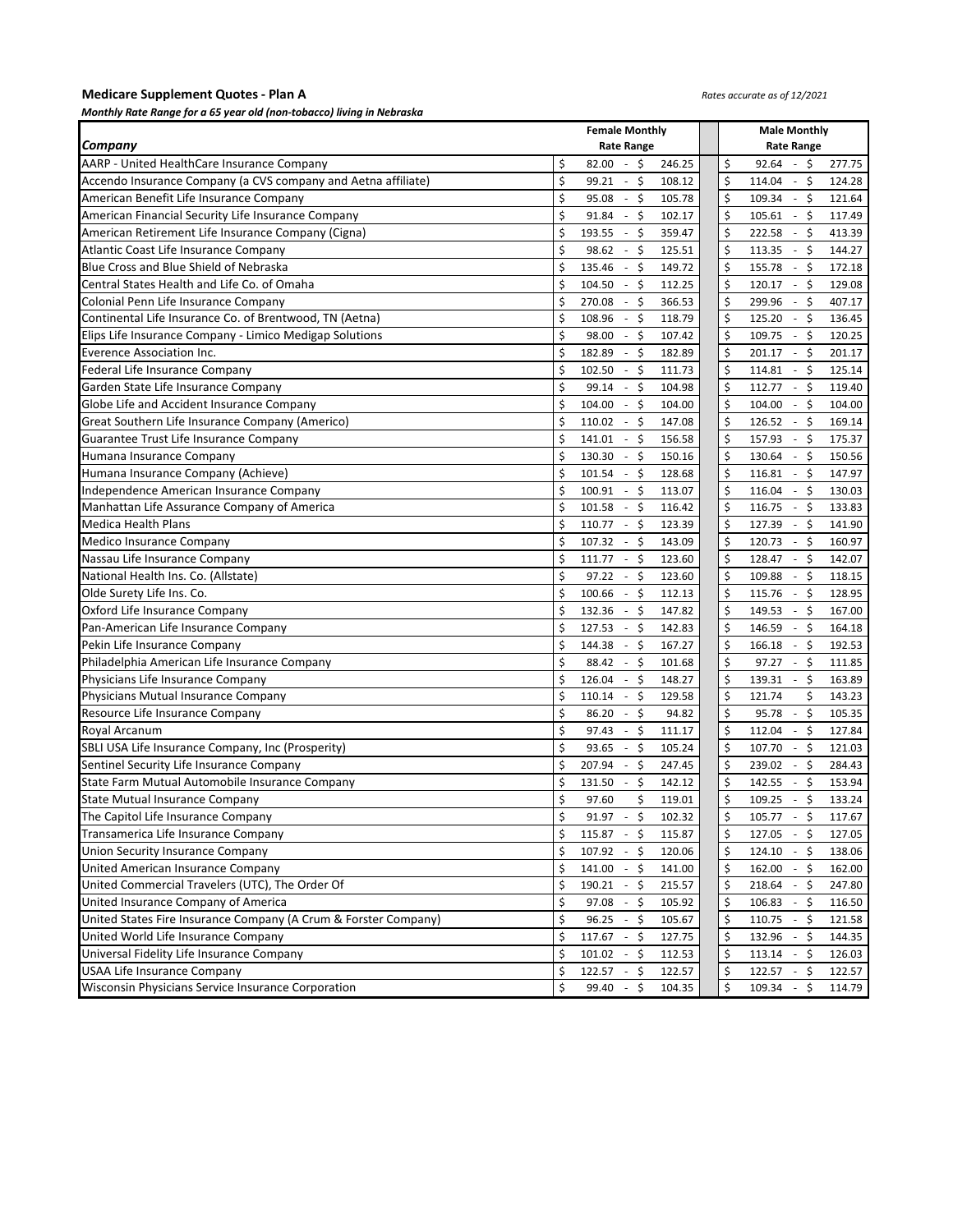### **Medicare Supplement Quotes - Plan A**  *Monthly Rate Range for a 65 year old (non-tobacco) living in Nebraska*

### *Rates accurate as of 12/2021*

| monthly have hange for a 65 year old fhoir-tobactof hvillig in Nebrasht |                                                         |                                                |  |  |  |  |  |  |  |  |
|-------------------------------------------------------------------------|---------------------------------------------------------|------------------------------------------------|--|--|--|--|--|--|--|--|
|                                                                         | <b>Female Monthly</b>                                   | <b>Male Monthly</b>                            |  |  |  |  |  |  |  |  |
| Company                                                                 | <b>Rate Range</b>                                       | <b>Rate Range</b>                              |  |  |  |  |  |  |  |  |
| AARP - United HealthCare Insurance Company                              | \$<br>$82.00 - $$<br>246.25                             | \$<br>$92.64 - $$<br>277.75                    |  |  |  |  |  |  |  |  |
| Accendo Insurance Company (a CVS company and Aetna affiliate)           | \$<br>$-5$<br>99.21<br>108.12                           | \$<br>$114.04 - $$<br>124.28                   |  |  |  |  |  |  |  |  |
| American Benefit Life Insurance Company                                 | \$<br>$\mathsf{\$}$<br>105.78<br>95.08<br>$\sim$        | \$<br>$109.34 - $$<br>121.64                   |  |  |  |  |  |  |  |  |
| American Financial Security Life Insurance Company                      | \$<br>$-5$<br>91.84<br>102.17                           | \$<br>$105.61 - $$<br>117.49                   |  |  |  |  |  |  |  |  |
| American Retirement Life Insurance Company (Cigna)                      | \$<br>$-5$<br>193.55<br>359.47                          | \$<br>$-5$<br>222.58<br>413.39                 |  |  |  |  |  |  |  |  |
| Atlantic Coast Life Insurance Company                                   | Ś<br>$-5$<br>98.62<br>125.51                            | $\mathsf{\hat{S}}$<br>$-5$<br>144.27<br>113.35 |  |  |  |  |  |  |  |  |
| Blue Cross and Blue Shield of Nebraska                                  | \$<br>\$<br>149.72<br>135.46<br>$\sim$                  | \$<br>$155.78 - $$<br>172.18                   |  |  |  |  |  |  |  |  |
| Central States Health and Life Co. of Omaha                             | \$<br>$\ddot{\mathsf{S}}$<br>104.50<br>$\sim$<br>112.25 | \$<br>$120.17 - $$<br>129.08                   |  |  |  |  |  |  |  |  |
| Colonial Penn Life Insurance Company                                    | \$<br>$\mathsf{\dot{S}}$<br>270.08<br>366.53<br>$\sim$  | \$<br>$-5$<br>299.96<br>407.17                 |  |  |  |  |  |  |  |  |
| Continental Life Insurance Co. of Brentwood, TN (Aetna)                 | \$<br>\$<br>108.96<br>118.79<br>$\sim$                  | \$<br>$-5$<br>136.45<br>125.20                 |  |  |  |  |  |  |  |  |
| Elips Life Insurance Company - Limico Medigap Solutions                 | Ś<br>$-5$<br>98.00<br>107.42                            | $\mathsf{\hat{S}}$<br>$-5$<br>109.75<br>120.25 |  |  |  |  |  |  |  |  |
| Everence Association Inc.                                               | Ś<br>$-5$<br>182.89<br>182.89                           | $\mathsf{\hat{S}}$<br>$-5$<br>201.17<br>201.17 |  |  |  |  |  |  |  |  |
| Federal Life Insurance Company                                          | \$<br>$\mathsf{\dot{S}}$<br>102.50<br>111.73<br>$\sim$  | \$<br>$114.81 - $$<br>125.14                   |  |  |  |  |  |  |  |  |
| Garden State Life Insurance Company                                     | \$<br>$-5$<br>99.14<br>104.98                           | \$<br>$112.77 - $$<br>119.40                   |  |  |  |  |  |  |  |  |
| Globe Life and Accident Insurance Company                               | \$<br>$-5$<br>104.00<br>104.00                          | \$<br>$-5$<br>104.00<br>104.00                 |  |  |  |  |  |  |  |  |
| Great Southern Life Insurance Company (Americo)                         | \$<br>$\mathsf{\dot{S}}$<br>110.02<br>147.08<br>$\sim$  | \$<br>$-5$<br>126.52<br>169.14                 |  |  |  |  |  |  |  |  |
| Guarantee Trust Life Insurance Company                                  | Ś<br>$-5$<br>156.58<br>141.01                           | \$<br>$-5$<br>157.93<br>175.37                 |  |  |  |  |  |  |  |  |
| Humana Insurance Company                                                | Ś<br>$-5$<br>130.30<br>150.16                           | $\mathsf{\hat{S}}$<br>$-5$<br>150.56<br>130.64 |  |  |  |  |  |  |  |  |
| Humana Insurance Company (Achieve)                                      | \$<br>\$<br>101.54<br>128.68<br>$\sim$                  | \$<br>$-5$<br>116.81<br>147.97                 |  |  |  |  |  |  |  |  |
| Independence American Insurance Company                                 | Ś<br>$-5$<br>100.91<br>113.07                           | \$<br>$116.04 - S$<br>130.03                   |  |  |  |  |  |  |  |  |
| Manhattan Life Assurance Company of America                             | \$<br>$-5$<br>101.58<br>116.42                          | \$<br>$-5$<br>116.75<br>133.83                 |  |  |  |  |  |  |  |  |
| <b>Medica Health Plans</b>                                              | \$<br>\$<br>110.77<br>123.39<br>$\sim$                  | \$<br>$-5$<br>141.90<br>127.39                 |  |  |  |  |  |  |  |  |
| <b>Medico Insurance Company</b>                                         | Ś<br>$-5$<br>107.32<br>143.09                           | $\mathsf{\hat{S}}$<br>$-5$<br>160.97<br>120.73 |  |  |  |  |  |  |  |  |
| Nassau Life Insurance Company                                           | $-5$<br>\$<br>111.77<br>123.60                          | \$<br>$-5$<br>142.07<br>128.47                 |  |  |  |  |  |  |  |  |
| National Health Ins. Co. (Allstate)                                     | Ś<br>$-5$<br>97.22<br>123.60                            | \$<br>$-5$<br>118.15<br>109.88                 |  |  |  |  |  |  |  |  |
| Olde Surety Life Ins. Co.                                               | \$<br>$-5$<br>112.13<br>100.66                          | \$<br>$-5$<br>115.76<br>128.95                 |  |  |  |  |  |  |  |  |
| Oxford Life Insurance Company                                           | \$<br>$\ddot{\mathsf{S}}$<br>132.36<br>$\sim$<br>147.82 | \$<br>$-5$<br>149.53<br>167.00                 |  |  |  |  |  |  |  |  |
| Pan-American Life Insurance Company                                     | \$<br>$\mathsf{\dot{S}}$<br>127.53<br>142.83<br>$\sim$  | \$<br>$-5$<br>146.59<br>164.18                 |  |  |  |  |  |  |  |  |
| Pekin Life Insurance Company                                            | \$<br>\$<br>144.38<br>167.27<br>$\sim$                  | \$<br>- \$<br>192.53<br>166.18                 |  |  |  |  |  |  |  |  |
| Philadelphia American Life Insurance Company                            | \$<br>$-5$<br>88.42<br>101.68                           | \$<br>$-5$<br>97.27<br>111.85                  |  |  |  |  |  |  |  |  |
| Physicians Life Insurance Company                                       | Ś<br>$\mathsf{\dot{S}}$<br>126.04<br>148.27<br>$\sim$   | $\mathsf{\hat{S}}$<br>$-5$<br>139.31<br>163.89 |  |  |  |  |  |  |  |  |
| Physicians Mutual Insurance Company                                     | \$<br>\$<br>129.58<br>110.14<br>$\sim$                  | \$<br>121.74<br>\$<br>143.23                   |  |  |  |  |  |  |  |  |
| Resource Life Insurance Company                                         | \$<br>$\mathsf{\dot{S}}$<br>86.20<br>94.82<br>$\sim$    | \$<br>$-5$<br>95.78<br>105.35                  |  |  |  |  |  |  |  |  |
| Royal Arcanum                                                           | \$<br>\$<br>97.43<br>111.17<br>$\sim$                   | \$<br>$-5$<br>112.04<br>127.84                 |  |  |  |  |  |  |  |  |
| SBLI USA Life Insurance Company, Inc (Prosperity)                       | \$<br>\$<br>93.65<br>105.24<br>$\sim$                   | \$<br>$107.70 - $$<br>121.03                   |  |  |  |  |  |  |  |  |
| Sentinel Security Life Insurance Company                                | Ś<br>$-5$<br>207.94<br>247.45                           | \$<br>$-5$<br>239.02<br>284.43                 |  |  |  |  |  |  |  |  |
| State Farm Mutual Automobile Insurance Company                          | Ś<br>\$<br>131.50<br>142.12<br>$\sim$                   | $\mathsf{\hat{S}}$<br>$-5$<br>142.55<br>153.94 |  |  |  |  |  |  |  |  |
| <b>State Mutual Insurance Company</b>                                   | \$<br>\$<br>97.60<br>119.01                             | \$<br>\$<br>109.25<br>133.24<br>$\sim$         |  |  |  |  |  |  |  |  |
| The Capitol Life Insurance Company                                      | \$<br>$91.97 - $$<br>102.32                             | \$<br>$105.77 - $$<br>117.67                   |  |  |  |  |  |  |  |  |
| Transamerica Life Insurance Company                                     | \$<br>$115.87 - $$<br>115.87                            | $\ddot{\varsigma}$<br>127.05 - \$<br>127.05    |  |  |  |  |  |  |  |  |
| Union Security Insurance Company                                        | \$<br>\$<br>107.92<br>120.06<br>$\sim$                  | \$<br>$124.10 - 5$<br>138.06                   |  |  |  |  |  |  |  |  |
| United American Insurance Company                                       | \$<br>$141.00 - $$<br>141.00                            | \$<br>$162.00 - $$<br>162.00                   |  |  |  |  |  |  |  |  |
| United Commercial Travelers (UTC), The Order Of                         | \$<br>190.21<br>- \$<br>215.57                          | \$<br>$218.64 - $$<br>247.80                   |  |  |  |  |  |  |  |  |
| United Insurance Company of America                                     | \$<br>97.08<br>- \$<br>105.92                           | \$<br>$106.83 - $$<br>116.50                   |  |  |  |  |  |  |  |  |
| United States Fire Insurance Company (A Crum & Forster Company)         | \$<br>$96.25 - $$<br>105.67                             | \$<br>$110.75 - $$<br>121.58                   |  |  |  |  |  |  |  |  |
| United World Life Insurance Company                                     | \$<br>$117.67 - $$<br>127.75                            | \$<br>$132.96 - $$<br>144.35                   |  |  |  |  |  |  |  |  |
| Universal Fidelity Life Insurance Company                               | \$<br>$101.02 - $$<br>112.53                            | \$<br>$113.14 - $$<br>126.03                   |  |  |  |  |  |  |  |  |
| <b>USAA Life Insurance Company</b>                                      | \$<br>$122.57 - $$<br>122.57                            | \$<br>$122.57 - $$<br>122.57                   |  |  |  |  |  |  |  |  |
| Wisconsin Physicians Service Insurance Corporation                      | $99.40 - $$<br>\$<br>104.35                             | \$<br>$109.34 - $$<br>114.79                   |  |  |  |  |  |  |  |  |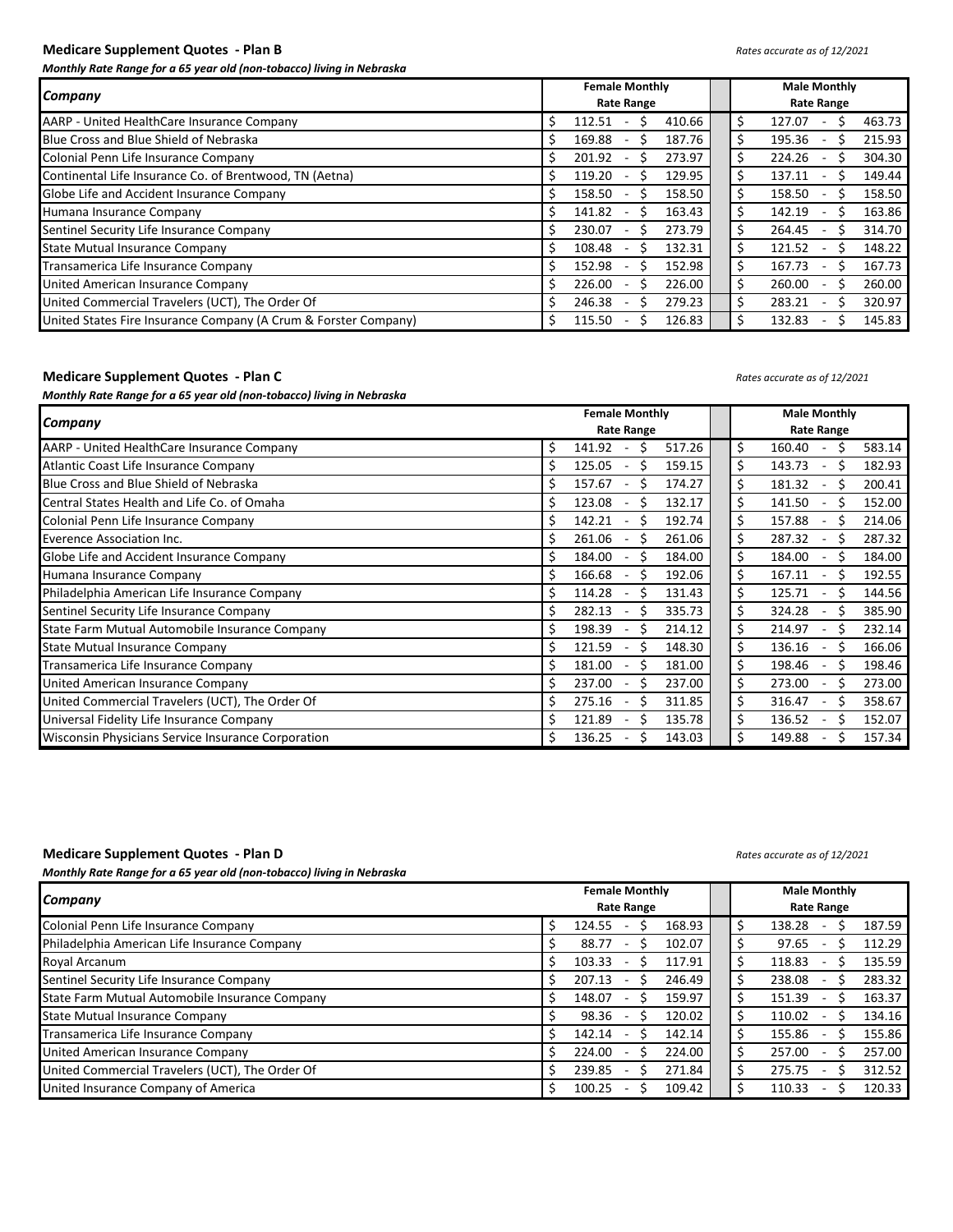## **Medicare Supplement Quotes - Plan B** *Rates accurate as of 12/2021*

*Monthly Rate Range for a 65 year old (non-tobacco) living in Nebraska*

| <b>Company</b>                                                  | <b>Female Monthly</b>                                  | <b>Male Monthly</b>                                     |  |  |  |  |  |  |  |
|-----------------------------------------------------------------|--------------------------------------------------------|---------------------------------------------------------|--|--|--|--|--|--|--|
|                                                                 | <b>Rate Range</b>                                      | <b>Rate Range</b>                                       |  |  |  |  |  |  |  |
| AARP - United HealthCare Insurance Company                      | 112.51<br>410.66                                       | \$<br>127.07<br>463.73                                  |  |  |  |  |  |  |  |
| Blue Cross and Blue Shield of Nebraska                          | 169.88<br>187.76                                       | \$<br>195.36<br>215.93<br>ς<br>$\overline{\phantom{a}}$ |  |  |  |  |  |  |  |
| Colonial Penn Life Insurance Company                            | 201.92<br>273.97                                       | \$<br>224.26<br>304.30<br>S<br>$\overline{\phantom{a}}$ |  |  |  |  |  |  |  |
| Continental Life Insurance Co. of Brentwood, TN (Aetna)         | 129.95<br>119.20                                       | \$<br>149.44<br>137.11<br>$\overline{\phantom{a}}$      |  |  |  |  |  |  |  |
| Globe Life and Accident Insurance Company                       | 158.50<br>158.50<br>ς                                  | \$<br>158.50<br>158.50<br>S<br>$\overline{\phantom{a}}$ |  |  |  |  |  |  |  |
| Humana Insurance Company                                        | 163.43<br>141.82                                       | \$<br>163.86<br>142.19<br>$\overline{\phantom{a}}$      |  |  |  |  |  |  |  |
| Sentinel Security Life Insurance Company                        | 273.79<br>230.07<br>$\overline{\phantom{a}}$           | Ś<br>314.70<br>264.45<br>s<br>$\overline{\phantom{a}}$  |  |  |  |  |  |  |  |
| <b>State Mutual Insurance Company</b>                           | 108.48<br>132.31<br>S<br>╰<br>$\overline{\phantom{a}}$ | \$<br>148.22<br>121.52<br>s<br>$\overline{\phantom{a}}$ |  |  |  |  |  |  |  |
| Transamerica Life Insurance Company                             | 152.98<br>152.98<br>$\overline{\phantom{a}}$           | \$<br>167.73<br>167.73<br>S.<br>$\sim$                  |  |  |  |  |  |  |  |
| United American Insurance Company                               | 226.00<br>226.00                                       | \$<br>260.00<br>260.00<br>S<br>$\overline{\phantom{a}}$ |  |  |  |  |  |  |  |
| United Commercial Travelers (UCT), The Order Of                 | 279.23<br>246.38<br>$\overline{\phantom{a}}$           | \$<br>283.21<br>320.97<br>S<br>$\overline{\phantom{a}}$ |  |  |  |  |  |  |  |
| United States Fire Insurance Company (A Crum & Forster Company) | 126.83<br>115.50                                       | \$<br>132.83<br>145.83<br>$\overline{\phantom{a}}$      |  |  |  |  |  |  |  |

### **Medicare Supplement Quotes - Plan C** *Rates accurate as of 12/2021*

*Monthly Rate Range for a 65 year old (non-tobacco) living in Nebraska*

|                                                    | <b>Female Monthly</b>                                   | <b>Male Monthly</b>                                      |
|----------------------------------------------------|---------------------------------------------------------|----------------------------------------------------------|
| Company                                            | <b>Rate Range</b>                                       | <b>Rate Range</b>                                        |
| AARP - United HealthCare Insurance Company         | \$<br>517.26<br>141.92                                  | \$<br>583.14<br>160.40                                   |
| Atlantic Coast Life Insurance Company              | \$<br>159.15<br>125.05<br>S                             | Ś<br>182.93<br>143.73<br>S                               |
| Blue Cross and Blue Shield of Nebraska             | \$<br>174.27<br>157.67<br>Ś                             | \$<br>181.32<br>200.41<br>S                              |
| Central States Health and Life Co. of Omaha        | \$<br>Ś<br>123.08<br>132.17                             | \$<br>141.50<br>152.00                                   |
| Colonial Penn Life Insurance Company               | \$<br>142.21<br>Ś<br>192.74                             | \$<br>157.88<br>214.06                                   |
| Everence Association Inc.                          | \$<br>Ś<br>261.06<br>261.06                             | \$<br>287.32<br>287.32                                   |
| Globe Life and Accident Insurance Company          | \$<br>\$.<br>184.00<br>184.00                           | \$<br>184.00<br>184.00                                   |
| Humana Insurance Company                           | \$<br>166.68<br>S<br>192.06                             | \$<br>192.55<br>167.11<br>ς                              |
| Philadelphia American Life Insurance Company       | \$<br>\$.<br>114.28<br>131.43                           | \$<br>\$.<br>125.71<br>144.56                            |
| Sentinel Security Life Insurance Company           | \$<br>Ś<br>282.13<br>335.73                             | \$<br>324.28<br>S.<br>385.90                             |
| State Farm Mutual Automobile Insurance Company     | \$<br>Ś<br>198.39<br>214.12                             | \$<br>214.97<br>232.14<br>S.                             |
| State Mutual Insurance Company                     | \$<br>121.59<br>S.<br>148.30                            | \$<br>136.16<br>166.06<br>ς                              |
| Transamerica Life Insurance Company                | \$<br>181.00<br>Ś<br>181.00                             | \$<br>198.46<br>198.46<br>S.                             |
| United American Insurance Company                  | \$<br>237.00<br>237.00<br>Ś                             | \$<br>273.00<br>273.00<br>S.<br>$\overline{\phantom{a}}$ |
| United Commercial Travelers (UCT), The Order Of    | \$<br>Ś<br>275.16<br>311.85<br>$\overline{\phantom{a}}$ | \$<br>316.47<br>358.67<br>S.<br>$\overline{\phantom{a}}$ |
| Universal Fidelity Life Insurance Company          | \$<br>135.78<br>121.89<br>Ś                             | \$<br>136.52<br>152.07<br>S                              |
| Wisconsin Physicians Service Insurance Corporation | \$<br>136.25<br>143.03<br>S                             | \$<br>157.34<br>149.88                                   |

### **Medicare Supplement Quotes - Plan D** *Rates accurate as of 12/2021*

| Company                                         | <b>Female Monthly</b><br><b>Rate Range</b> | <b>Male Monthly</b><br><b>Rate Range</b> |        |
|-------------------------------------------------|--------------------------------------------|------------------------------------------|--------|
| Colonial Penn Life Insurance Company            | \$<br>168.93<br>124.55                     | 138.28                                   | 187.59 |
| Philadelphia American Life Insurance Company    | 88.77<br>102.07                            | 97.65                                    | 112.29 |
| Royal Arcanum                                   | 103.33<br>117.91                           | 118.83                                   | 135.59 |
| Sentinel Security Life Insurance Company        | 207.13<br>246.49                           | 238.08                                   | 283.32 |
| State Farm Mutual Automobile Insurance Company  | 159.97<br>148.07                           | 151.39                                   | 163.37 |
| <b>State Mutual Insurance Company</b>           | 98.36<br>120.02<br>ς                       | 110.02<br>ς                              | 134.16 |
| Transamerica Life Insurance Company             | 142.14<br>142.14<br>↘                      | 155.86                                   | 155.86 |
| United American Insurance Company               | 224.00<br>224.00                           | 257.00                                   | 257.00 |
| United Commercial Travelers (UCT), The Order Of | 271.84<br>239.85                           | 275.75                                   | 312.52 |
| United Insurance Company of America             | 109.42<br>100.25                           | 110.33                                   | 120.33 |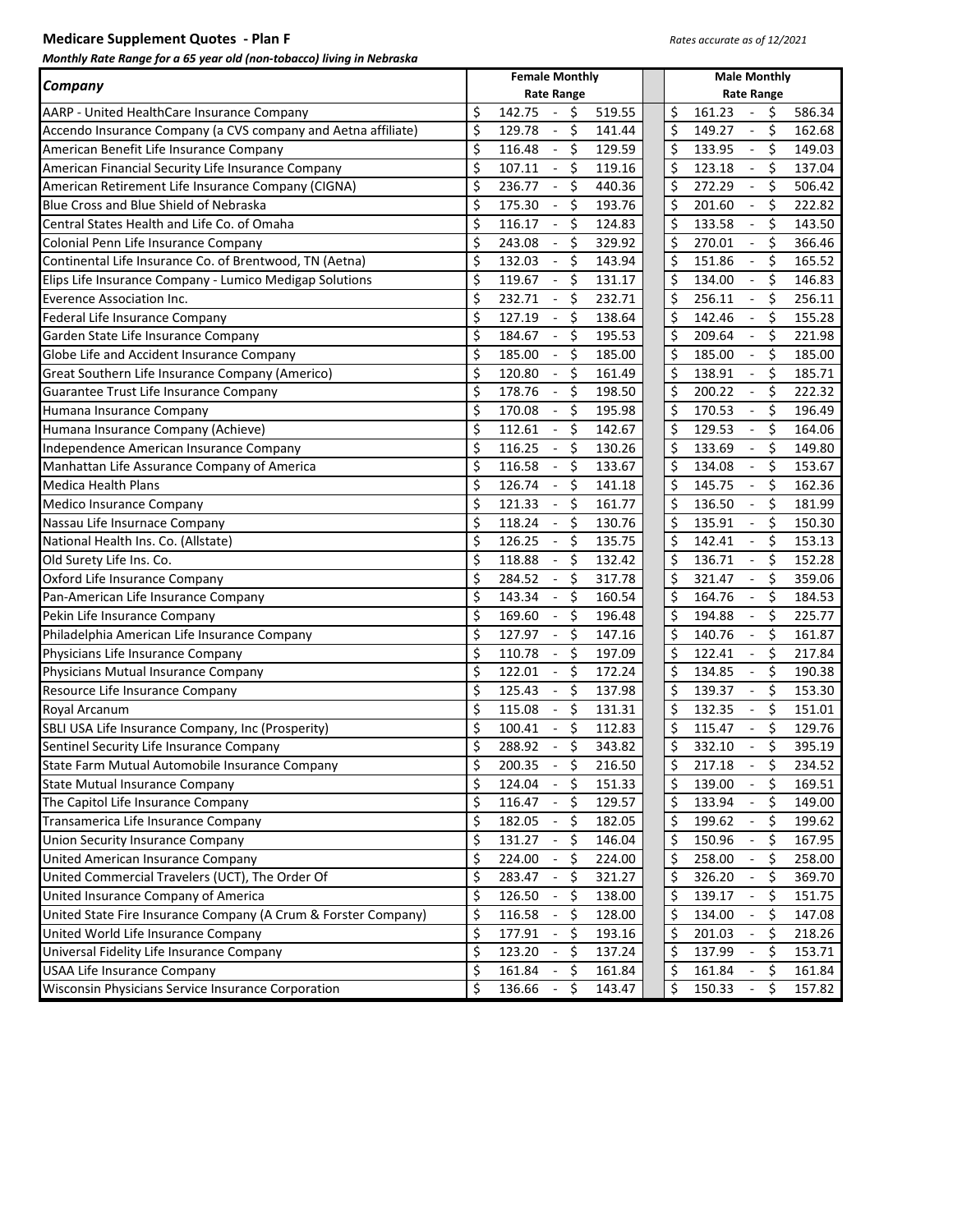# **Medicare Supplement Quotes - Plan F** *Rates accurate as of 12/2021*

| monthly nate hange for a 05 year old from cobacco, hving in nebrash | <b>Female Monthly</b>                                    | <b>Male Monthly</b>                                      |
|---------------------------------------------------------------------|----------------------------------------------------------|----------------------------------------------------------|
| <b>Company</b>                                                      | <b>Rate Range</b>                                        | <b>Rate Range</b>                                        |
| AARP - United HealthCare Insurance Company                          | \$<br>519.55<br>142.75<br>\$<br>$\sim$                   | \$<br>161.23<br>\$<br>586.34                             |
| Accendo Insurance Company (a CVS company and Aetna affiliate)       | \$<br>\$<br>129.78<br>141.44<br>$\blacksquare$           | \$<br>\$<br>149.27<br>162.68                             |
| American Benefit Life Insurance Company                             | \$<br>\$<br>116.48<br>129.59<br>$\overline{\phantom{a}}$ | \$<br>\$<br>133.95<br>149.03                             |
| American Financial Security Life Insurance Company                  | \$<br>\$<br>107.11<br>119.16<br>$\blacksquare$           | Ś.<br>\$<br>137.04<br>123.18<br>$\blacksquare$           |
| American Retirement Life Insurance Company (CIGNA)                  | \$<br>236.77<br>\$<br>440.36<br>$\blacksquare$           | Ś.<br>\$<br>272.29<br>506.42                             |
| Blue Cross and Blue Shield of Nebraska                              | \$<br>\$<br>193.76<br>175.30                             | Ś.<br>\$<br>201.60<br>222.82<br>$\overline{\phantom{a}}$ |
| Central States Health and Life Co. of Omaha                         | \$<br>\$<br>116.17<br>124.83<br>$\blacksquare$           | Ś.<br>\$<br>133.58<br>143.50                             |
| Colonial Penn Life Insurance Company                                | \$<br>\$<br>243.08<br>329.92                             | \$<br>\$<br>366.46<br>270.01                             |
| Continental Life Insurance Co. of Brentwood, TN (Aetna)             | \$<br>\$<br>132.03<br>143.94<br>$\overline{\phantom{a}}$ | Ś.<br>\$<br>165.52<br>151.86                             |
| Elips Life Insurance Company - Lumico Medigap Solutions             | \$<br>\$<br>119.67<br>131.17<br>$\overline{\phantom{a}}$ | Ś.<br>\$<br>134.00<br>146.83                             |
| <b>Everence Association Inc.</b>                                    | \$<br>\$<br>232.71<br>232.71<br>$\overline{\phantom{a}}$ | Ś.<br>\$<br>256.11<br>256.11                             |
| Federal Life Insurance Company                                      | \$<br>\$<br>127.19<br>138.64                             | Ś.<br>\$<br>142.46<br>155.28                             |
| Garden State Life Insurance Company                                 | \$<br>\$<br>184.67<br>195.53                             | \$<br>\$<br>209.64<br>221.98                             |
| Globe Life and Accident Insurance Company                           | \$<br>185.00<br>\$<br>185.00                             | Ś.<br>\$<br>185.00<br>185.00                             |
| Great Southern Life Insurance Company (Americo)                     | \$<br>\$<br>120.80<br>161.49                             | Ś.<br>\$<br>138.91<br>185.71                             |
| Guarantee Trust Life Insurance Company                              | \$<br>178.76<br>\$<br>198.50                             | Ś.<br>\$<br>200.22<br>222.32                             |
| Humana Insurance Company                                            | \$<br>\$<br>170.08<br>195.98                             | \$<br>\$<br>170.53<br>196.49                             |
| Humana Insurance Company (Achieve)                                  | \$<br>\$<br>142.67<br>112.61                             | \$<br>\$<br>129.53<br>164.06                             |
| Independence American Insurance Company                             | \$<br>116.25<br>\$<br>130.26<br>$\overline{\phantom{a}}$ | Ś.<br>\$<br>149.80<br>133.69                             |
| Manhattan Life Assurance Company of America                         | \$<br>\$<br>116.58<br>133.67                             | Ś.<br>\$<br>153.67<br>134.08                             |
| <b>Medica Health Plans</b>                                          | \$<br>126.74<br>\$<br>141.18<br>$\overline{\phantom{a}}$ | Ś.<br>\$<br>145.75<br>162.36                             |
| Medico Insurance Company                                            | \$<br>\$<br>161.77<br>121.33                             | Ś.<br>\$<br>136.50<br>181.99                             |
| Nassau Life Insurnace Company                                       | \$<br>\$<br>118.24<br>130.76                             | \$<br>\$<br>135.91<br>150.30                             |
| National Health Ins. Co. (Allstate)                                 | \$<br>126.25<br>\$<br>135.75<br>$\blacksquare$           | Ś.<br>\$<br>153.13<br>142.41                             |
| Old Surety Life Ins. Co.                                            | \$<br>\$<br>118.88<br>132.42                             | \$<br>\$<br>136.71<br>152.28                             |
| Oxford Life Insurance Company                                       | \$<br>284.52<br>\$<br>317.78                             | \$<br>\$<br>359.06<br>321.47                             |
| Pan-American Life Insurance Company                                 | \$<br>\$<br>143.34<br>160.54                             | Ś.<br>\$<br>164.76<br>184.53                             |
| Pekin Life Insurance Company                                        | \$<br>\$<br>169.60<br>196.48                             | \$<br>\$<br>225.77<br>194.88                             |
| Philadelphia American Life Insurance Company                        | \$<br>\$<br>127.97<br>147.16<br>$\blacksquare$           | Ś.<br>\$<br>140.76<br>161.87                             |
| Physicians Life Insurance Company                                   | \$<br>\$<br>110.78<br>197.09                             | \$<br>\$<br>122.41<br>217.84                             |
| Physicians Mutual Insurance Company                                 | \$<br>\$<br>122.01<br>172.24<br>÷,                       | \$<br>\$<br>134.85<br>190.38                             |
| Resource Life Insurance Company                                     | \$<br>\$<br>125.43<br>137.98                             | Ś.<br>\$<br>139.37<br>153.30                             |
| Royal Arcanum                                                       | \$<br>\$<br>115.08<br>131.31                             | Ś.<br>\$<br>132.35<br>151.01                             |
| SBLI USA Life Insurance Company, Inc (Prosperity)                   | \$<br>Ś.<br>100.41<br>112.83                             | \$<br>\$<br>115.47<br>129.76                             |
| Sentinel Security Life Insurance Company                            | \$<br>\$<br>343.82<br>288.92                             | \$<br>\$<br>395.19<br>332.10                             |
| State Farm Mutual Automobile Insurance Company                      | \$<br>200.35<br>216.50<br>Ş<br>$\blacksquare$            | \$<br>217.18<br>234.52<br>Ş                              |
| <b>State Mutual Insurance Company</b>                               | \$<br>124.04<br>\$<br>151.33                             | \$<br>139.00<br>\$<br>169.51                             |
| The Capitol Life Insurance Company                                  | \$<br>116.47<br>129.57<br>\$                             | \$<br>133.94<br>\$<br>149.00                             |
| Transamerica Life Insurance Company                                 | \$<br>182.05<br>\$<br>182.05                             | \$<br>199.62<br>199.62<br>\$                             |
| <b>Union Security Insurance Company</b>                             | \$<br>131.27<br>146.04<br>\$                             | \$<br>150.96<br>\$<br>167.95                             |
| United American Insurance Company                                   | \$<br>224.00<br>\$<br>224.00                             | \$<br>258.00<br>\$<br>258.00                             |
| United Commercial Travelers (UCT), The Order Of                     | \$<br>283.47<br>\$<br>321.27                             | \$<br>326.20<br>\$<br>369.70                             |
| United Insurance Company of America                                 | \$<br>126.50<br>138.00<br>\$                             | \$<br>139.17<br>\$<br>151.75                             |
| United State Fire Insurance Company (A Crum & Forster Company)      | \$<br>116.58<br>128.00<br>\$                             | \$<br>134.00<br>\$<br>147.08                             |
| United World Life Insurance Company                                 | \$<br>177.91<br>193.16<br>\$                             | \$<br>201.03<br>\$<br>218.26                             |
| Universal Fidelity Life Insurance Company                           | \$<br>123.20<br>137.24<br>\$                             | \$<br>137.99<br>\$<br>153.71                             |
| <b>USAA Life Insurance Company</b>                                  | \$<br>161.84<br>161.84<br>\$                             | \$<br>161.84<br>\$<br>161.84                             |
| Wisconsin Physicians Service Insurance Corporation                  | \$<br>143.47<br>136.66<br>\$                             | \$<br>150.33<br>\$<br>157.82                             |
|                                                                     |                                                          |                                                          |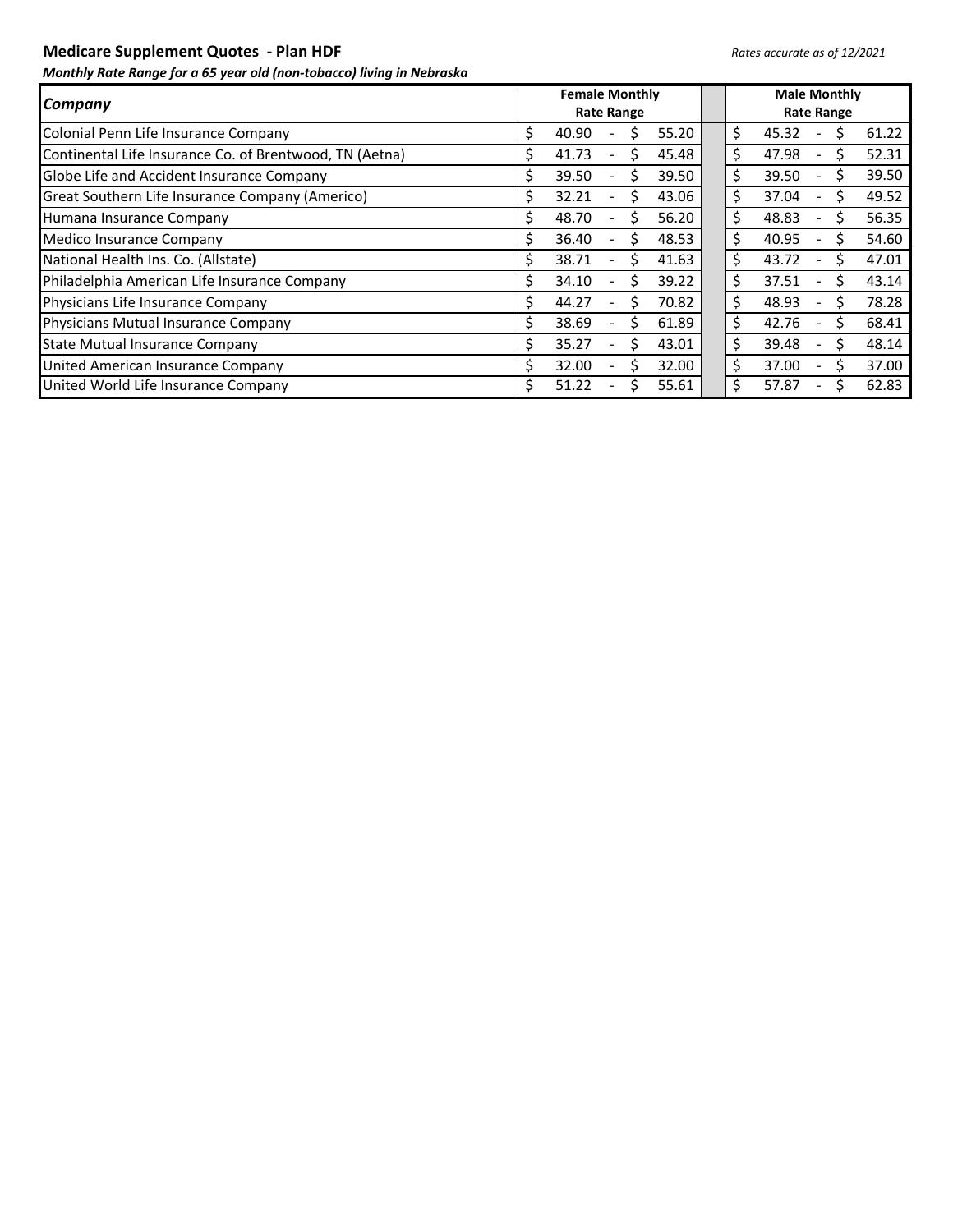**Medicare Supplement Quotes - Plan HDF** *Rates accurate as of 12/2021* 

|                                                         | <b>Female Monthly</b>                      | <b>Male Monthly</b>                              |
|---------------------------------------------------------|--------------------------------------------|--------------------------------------------------|
| Company                                                 | <b>Rate Range</b>                          | <b>Rate Range</b>                                |
| Colonial Penn Life Insurance Company                    | 55.20<br>S<br>40.90<br>Ś                   | \$<br>45.32<br>61.22                             |
| Continental Life Insurance Co. of Brentwood, TN (Aetna) | 45.48<br>41.73<br>S<br>S<br>۰              | \$<br>52.31<br>47.98<br>S<br>۰                   |
| Globe Life and Accident Insurance Company               | Ś<br>39.50<br>39.50<br>S<br>$\blacksquare$ | \$<br>39.50<br>39.50<br>۰                        |
| Great Southern Life Insurance Company (Americo)         | 32.21<br>43.06<br>S<br>S<br>۰              | \$<br>49.52<br>37.04<br>$\blacksquare$           |
| Humana Insurance Company                                | 48.70<br>Ś<br>56.20<br>S<br>۰              | \$<br>56.35<br>48.83<br>۰                        |
| Medico Insurance Company                                | 48.53<br>36.40<br>S<br>S<br>۰              | \$<br>40.95<br>54.60<br>$\overline{\phantom{0}}$ |
| National Health Ins. Co. (Allstate)                     | Ś<br>38.71<br>41.63<br>S<br>۰              | \$<br>43.72<br>47.01<br>$\overline{\phantom{0}}$ |
| Philadelphia American Life Insurance Company            | 39.22<br>34.10<br>Ś<br>S<br>۰              | \$<br>43.14<br>37.51<br>S<br>۰                   |
| Physicians Life Insurance Company                       | Ś<br>44.27<br>70.82<br>Ś<br>۰              | \$<br>78.28<br>48.93<br>۰                        |
| Physicians Mutual Insurance Company                     | 38.69<br>S<br>61.89<br>Ś<br>۰              | \$<br>68.41<br>42.76<br>۰                        |
| <b>State Mutual Insurance Company</b>                   | 43.01<br>35.27<br>Ś<br>Ś<br>۰              | \$<br>48.14<br>39.48                             |
| United American Insurance Company                       | 32.00<br>32.00<br>S<br>S<br>۰              | \$<br>37.00<br>37.00                             |
| United World Life Insurance Company                     | 51.22<br>55.61<br>Ś                        | \$<br>62.83<br>57.87                             |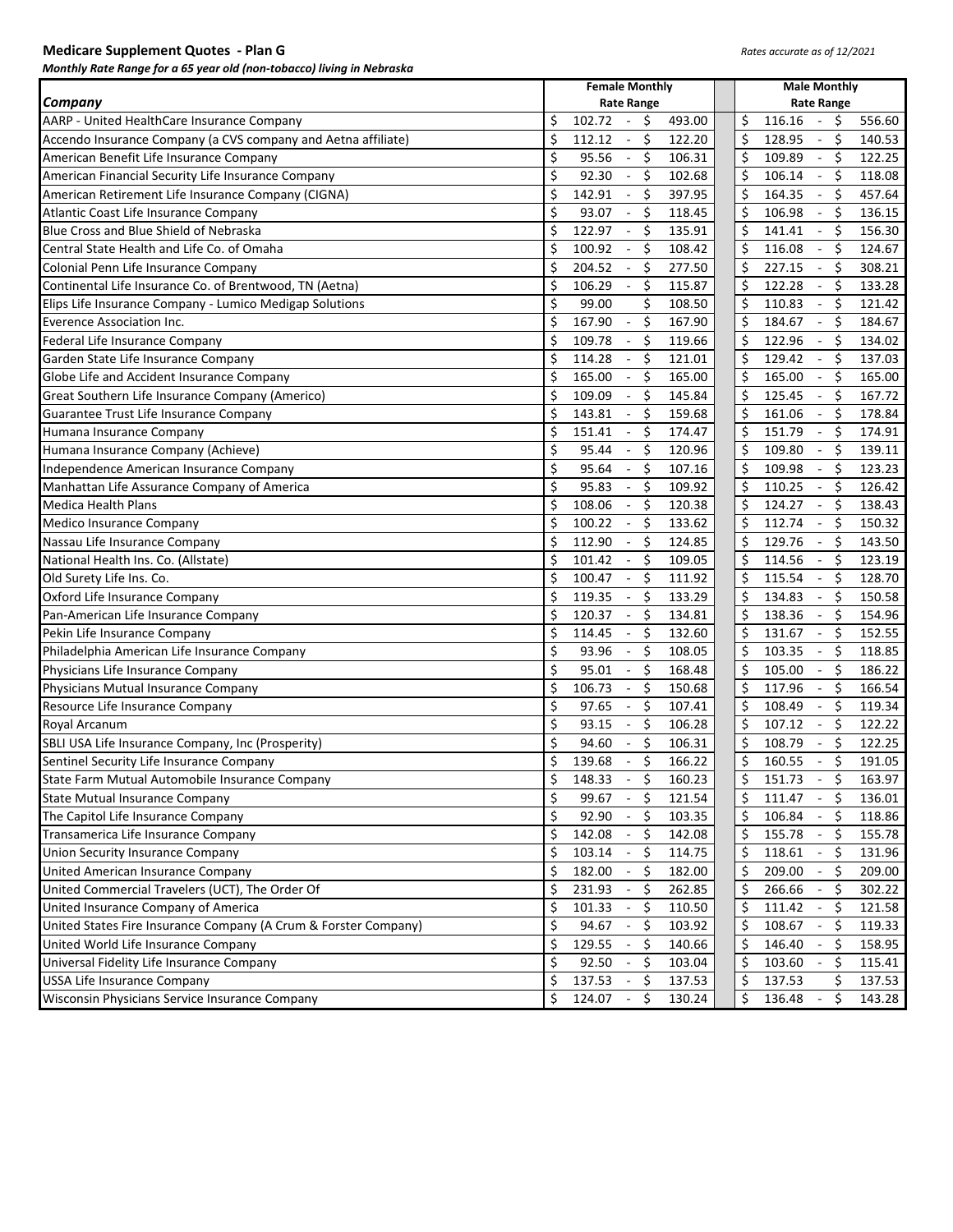## **Medicare Supplement Quotes - Plan G** *Rates accurate as of 12/2021*

|                                                                                 | <b>Female Monthly</b>                                                  | <b>Male Monthly</b>                                                |  |  |  |  |  |  |  |
|---------------------------------------------------------------------------------|------------------------------------------------------------------------|--------------------------------------------------------------------|--|--|--|--|--|--|--|
| Company                                                                         | <b>Rate Range</b>                                                      | <b>Rate Range</b>                                                  |  |  |  |  |  |  |  |
| AARP - United HealthCare Insurance Company                                      | \$<br>102.72<br>\$<br>493.00                                           | \$<br>116.16<br>\$<br>556.60<br>$\sim$                             |  |  |  |  |  |  |  |
| Accendo Insurance Company (a CVS company and Aetna affiliate)                   | \$<br>\$<br>112.12<br>122.20<br>$\blacksquare$                         | \$<br>\$<br>128.95<br>140.53<br>$\blacksquare$                     |  |  |  |  |  |  |  |
| American Benefit Life Insurance Company                                         | \$<br>\$<br>95.56<br>106.31<br>$\blacksquare$                          | \$<br>\$<br>109.89<br>122.25<br>$\sim$                             |  |  |  |  |  |  |  |
| American Financial Security Life Insurance Company                              | \$<br>\$<br>92.30<br>102.68<br>$\blacksquare$                          | \$<br>\$<br>106.14<br>118.08<br>$\blacksquare$                     |  |  |  |  |  |  |  |
|                                                                                 | \$<br>$\zeta$<br>142.91                                                | \$<br>\$<br>164.35                                                 |  |  |  |  |  |  |  |
| American Retirement Life Insurance Company (CIGNA)                              | 397.95<br>\$<br>$\zeta$<br>93.07<br>118.45<br>$\overline{\phantom{a}}$ | 457.64<br>$\overline{\phantom{a}}$<br>\$<br>\$<br>106.98<br>136.15 |  |  |  |  |  |  |  |
| Atlantic Coast Life Insurance Company<br>Blue Cross and Blue Shield of Nebraska | 122.97                                                                 | $\blacksquare$                                                     |  |  |  |  |  |  |  |
| Central State Health and Life Co. of Omaha                                      | \$<br>$\zeta$<br>$\omega$<br>135.91                                    | \$<br>\$<br>141.41<br>$\Box$<br>156.30<br>\$                       |  |  |  |  |  |  |  |
|                                                                                 | \$<br>$\zeta$<br>100.92<br>108.42<br>$\overline{\phantom{a}}$          | \$<br>116.08<br>$\mathcal{L}$<br>124.67                            |  |  |  |  |  |  |  |
| Colonial Penn Life Insurance Company                                            | \$<br>$-5$<br>204.52<br>277.50                                         | \$<br>\$<br>227.15<br>308.21<br>$\sim$                             |  |  |  |  |  |  |  |
| Continental Life Insurance Co. of Brentwood, TN (Aetna)                         | \$<br>$-5$<br>106.29<br>115.87                                         | \$<br>\$<br>122.28<br>133.28<br>$\sim$                             |  |  |  |  |  |  |  |
| Elips Life Insurance Company - Lumico Medigap Solutions                         | \$<br>\$<br>99.00<br>108.50                                            | \$<br>\$<br>110.83<br>121.42<br>$\sim$                             |  |  |  |  |  |  |  |
| <b>Everence Association Inc.</b>                                                | \$<br>\$<br>167.90<br>167.90<br>$\overline{\phantom{a}}$               | \$<br>\$<br>184.67<br>184.67<br>$\blacksquare$                     |  |  |  |  |  |  |  |
| Federal Life Insurance Company                                                  | \$<br>\$<br>109.78<br>119.66<br>$\overline{\phantom{a}}$               | \$<br>\$<br>122.96<br>134.02<br>$\blacksquare$                     |  |  |  |  |  |  |  |
| Garden State Life Insurance Company                                             | \$<br>114.28<br>\$<br>121.01<br>$\overline{\phantom{a}}$               | \$<br>\$<br>129.42<br>137.03<br>$\omega$                           |  |  |  |  |  |  |  |
| Globe Life and Accident Insurance Company                                       | \$<br>165.00<br>\$<br>165.00<br>$\blacksquare$                         | \$<br>165.00<br>\$<br>165.00<br>$\overline{\phantom{a}}$           |  |  |  |  |  |  |  |
| Great Southern Life Insurance Company (Americo)                                 | \$<br>109.09<br>\$<br>145.84<br>$\overline{\phantom{a}}$               | \$<br>125.45<br>\$<br>167.72<br>$\blacksquare$                     |  |  |  |  |  |  |  |
| Guarantee Trust Life Insurance Company                                          | \$<br>143.81<br>\$<br>159.68<br>$\overline{\phantom{a}}$               | \$<br>161.06<br>\$<br>178.84<br>$\overline{\phantom{a}}$           |  |  |  |  |  |  |  |
| Humana Insurance Company                                                        | \$<br>-\$<br>151.41<br>174.47<br>$\overline{\phantom{a}}$              | \$<br>\$<br>151.79<br>174.91<br>$\sim$                             |  |  |  |  |  |  |  |
| Humana Insurance Company (Achieve)                                              | \$<br>\$<br>95.44<br>120.96<br>$\blacksquare$                          | \$<br>\$<br>109.80<br>$\overline{\phantom{a}}$<br>139.11           |  |  |  |  |  |  |  |
| Independence American Insurance Company                                         | \$<br>\$<br>95.64<br>107.16<br>$\blacksquare$                          | \$<br>\$<br>109.98<br>123.23<br>$\overline{\phantom{a}}$           |  |  |  |  |  |  |  |
| Manhattan Life Assurance Company of America                                     | \$<br>95.83<br>\$<br>109.92<br>$\overline{\phantom{a}}$                | \$<br>\$<br>110.25<br>126.42<br>$\sim$                             |  |  |  |  |  |  |  |
| <b>Medica Health Plans</b>                                                      | \$<br>$-$ \$<br>108.06<br>120.38                                       | \$<br>124.27<br>\$<br>138.43<br>$\sim$                             |  |  |  |  |  |  |  |
| Medico Insurance Company                                                        | \$<br>100.22<br>- \$<br>133.62<br>$\blacksquare$                       | \$<br>112.74<br>\$<br>150.32<br>$\sim$                             |  |  |  |  |  |  |  |
| Nassau Life Insurance Company                                                   | \$<br>$\zeta$<br>112.90<br>124.85<br>$\overline{\phantom{a}}$          | \$<br>\$<br>129.76<br>143.50<br>$\sim$                             |  |  |  |  |  |  |  |
| National Health Ins. Co. (Allstate)                                             | \$<br>-\$<br>101.42<br>109.05<br>$\blacksquare$                        | \$<br>\$<br>114.56<br>123.19<br>$\sim$                             |  |  |  |  |  |  |  |
| Old Surety Life Ins. Co.                                                        | \$<br>\$<br>100.47<br>111.92<br>$\blacksquare$                         | \$<br>\$<br>115.54<br>128.70<br>$\blacksquare$                     |  |  |  |  |  |  |  |
| Oxford Life Insurance Company                                                   | \$<br>\$<br>119.35<br>133.29<br>$\overline{\phantom{a}}$               | \$<br>\$<br>134.83<br>150.58<br>$\blacksquare$                     |  |  |  |  |  |  |  |
| Pan-American Life Insurance Company                                             | \$<br>\$<br>120.37<br>134.81<br>$\blacksquare$                         | \$<br>138.36<br>\$<br>154.96<br>$\overline{\phantom{a}}$           |  |  |  |  |  |  |  |
| Pekin Life Insurance Company                                                    | \$<br>\$<br>114.45<br>132.60<br>$\overline{\phantom{a}}$               | \$<br>\$<br>131.67<br>152.55<br>$\overline{\phantom{a}}$           |  |  |  |  |  |  |  |
| Philadelphia American Life Insurance Company                                    | \$<br>\$<br>93.96<br>108.05                                            | \$<br>\$<br>103.35<br>118.85<br>$\overline{\phantom{a}}$           |  |  |  |  |  |  |  |
| Physicians Life Insurance Company                                               | \$<br>$\zeta$<br>95.01<br>168.48<br>$\overline{\phantom{a}}$           | \$<br>Ś.<br>105.00<br>186.22<br>$\overline{\phantom{a}}$           |  |  |  |  |  |  |  |
| Physicians Mutual Insurance Company                                             | \$<br>$\zeta$<br>106.73<br>150.68<br>$\blacksquare$                    | \$<br>\$<br>117.96<br>$\blacksquare$<br>166.54                     |  |  |  |  |  |  |  |
| Resource Life Insurance Company                                                 | \$<br>$\zeta$<br>97.65<br>$\sim$<br>107.41                             | \$<br>\$<br>108.49<br>$\blacksquare$<br>119.34                     |  |  |  |  |  |  |  |
| Royal Arcanum                                                                   | \$<br>$-5$<br>93.15<br>106.28                                          | \$<br>\$<br>122.22<br>107.12<br>$\sim$                             |  |  |  |  |  |  |  |
| SBLI USA Life Insurance Company, Inc (Prosperity)                               | \$<br>$-5$<br>94.60<br>106.31                                          | \$<br>Ś.<br>122.25<br>108.79<br>$\blacksquare$                     |  |  |  |  |  |  |  |
| Sentinel Security Life Insurance Company                                        | \$<br>$-$ \$<br>139.68<br>166.22                                       | \$<br>\$<br>160.55<br>191.05<br>$\sim$                             |  |  |  |  |  |  |  |
| State Farm Mutual Automobile Insurance Company                                  | 148.33<br>160.23<br>Ş<br>\$.<br>$\overline{\phantom{a}}$               | 151.73<br>163.97<br>\$.<br>\$.<br>$\overline{\phantom{a}}$         |  |  |  |  |  |  |  |
| <b>State Mutual Insurance Company</b>                                           | \$<br>\$<br>99.67<br>121.54<br>$\overline{\phantom{a}}$                | Ś.<br>\$<br>111.47<br>136.01<br>$\blacksquare$                     |  |  |  |  |  |  |  |
| The Capitol Life Insurance Company                                              | \$<br>92.90<br>\$<br>103.35<br>$\blacksquare$                          | \$<br>106.84<br>\$<br>118.86<br>$\overline{\phantom{a}}$           |  |  |  |  |  |  |  |
| Transamerica Life Insurance Company                                             | \$<br>142.08<br>\$<br>142.08<br>$\blacksquare$                         | \$<br>155.78<br>155.78<br>\$<br>$\overline{\phantom{a}}$           |  |  |  |  |  |  |  |
| Union Security Insurance Company                                                | \$<br>103.14<br>\$<br>114.75<br>$\overline{\phantom{a}}$               | \$<br>118.61<br>131.96<br>\$.<br>$\overline{\phantom{a}}$          |  |  |  |  |  |  |  |
| United American Insurance Company                                               | \$<br>182.00<br>\$<br>182.00<br>$\overline{\phantom{a}}$               | \$<br>209.00<br>209.00<br>\$<br>$\overline{\phantom{a}}$           |  |  |  |  |  |  |  |
| United Commercial Travelers (UCT), The Order Of                                 | \$<br>231.93<br>-\$<br>262.85<br>$\blacksquare$                        | \$<br>266.66<br>\$<br>302.22<br>$\overline{\phantom{a}}$           |  |  |  |  |  |  |  |
| United Insurance Company of America                                             | \$<br>101.33<br>- \$<br>110.50<br>$\overline{\phantom{a}}$             | \$<br>\$<br>111.42<br>121.58<br>$\overline{\phantom{a}}$           |  |  |  |  |  |  |  |
| United States Fire Insurance Company (A Crum & Forster Company)                 | \$<br>94.67<br>- \$<br>103.92                                          | \$<br>\$<br>108.67<br>$\sim$<br>119.33                             |  |  |  |  |  |  |  |
| United World Life Insurance Company                                             | \$<br>129.55<br>- \$<br>140.66                                         | \$<br>146.40<br>\$<br>$\sim$<br>158.95                             |  |  |  |  |  |  |  |
| Universal Fidelity Life Insurance Company                                       | \$<br>- \$<br>92.50<br>103.04                                          | \$<br>103.60<br>\$<br>$\sim$<br>115.41                             |  |  |  |  |  |  |  |
| <b>USSA Life Insurance Company</b>                                              | \$<br>137.53<br>- \$<br>137.53                                         | \$<br>\$<br>137.53<br>137.53                                       |  |  |  |  |  |  |  |
| Wisconsin Physicians Service Insurance Company                                  | \$<br>124.07<br>Ŝ.<br>130.24<br>$\sim$                                 | Ś.<br>\$<br>136.48<br>143.28<br>$\sim$                             |  |  |  |  |  |  |  |
|                                                                                 |                                                                        |                                                                    |  |  |  |  |  |  |  |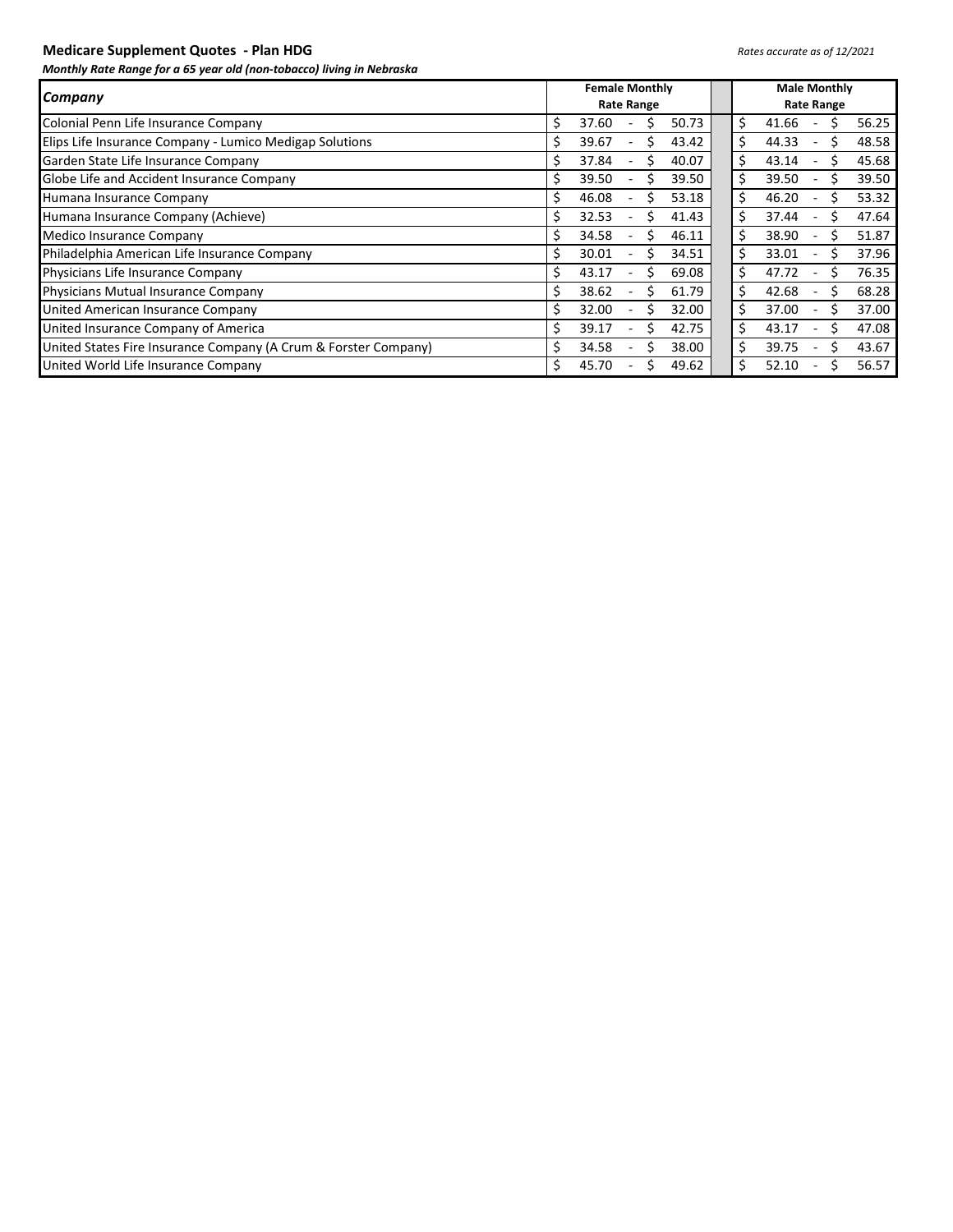## **Medicare Supplement Quotes - Plan HDG** *Rates accurate as of 12/2021*

|                                                                 | <b>Female Monthly</b><br><b>Rate Range</b> |       |  |   |       |    | <b>Male Monthly</b> |  |  |       |
|-----------------------------------------------------------------|--------------------------------------------|-------|--|---|-------|----|---------------------|--|--|-------|
| <b>Company</b>                                                  |                                            |       |  |   |       |    | <b>Rate Range</b>   |  |  |       |
| Colonial Penn Life Insurance Company                            | s                                          | 37.60 |  |   | 50.73 | \$ | 41.66               |  |  | 56.25 |
| Elips Life Insurance Company - Lumico Medigap Solutions         | S                                          | 39.67 |  |   | 43.42 |    | 44.33               |  |  | 48.58 |
| Garden State Life Insurance Company                             | Ś                                          | 37.84 |  |   | 40.07 |    | 43.14               |  |  | 45.68 |
| Globe Life and Accident Insurance Company                       |                                            | 39.50 |  |   | 39.50 |    | 39.50               |  |  | 39.50 |
| Humana Insurance Company                                        | S                                          | 46.08 |  | s | 53.18 | Ś  | 46.20               |  |  | 53.32 |
| Humana Insurance Company (Achieve)                              | Ś                                          | 32.53 |  |   | 41.43 |    | 37.44               |  |  | 47.64 |
| Medico Insurance Company                                        |                                            | 34.58 |  |   | 46.11 |    | 38.90               |  |  | 51.87 |
| Philadelphia American Life Insurance Company                    | S                                          | 30.01 |  | S | 34.51 | Ś  | 33.01               |  |  | 37.96 |
| Physicians Life Insurance Company                               | Ś                                          | 43.17 |  |   | 69.08 |    | 47.72               |  |  | 76.35 |
| Physicians Mutual Insurance Company                             | S                                          | 38.62 |  |   | 61.79 |    | 42.68               |  |  | 68.28 |
| United American Insurance Company                               | S                                          | 32.00 |  | S | 32.00 | Ś  | 37.00               |  |  | 37.00 |
| United Insurance Company of America                             |                                            | 39.17 |  |   | 42.75 |    | 43.17               |  |  | 47.08 |
| United States Fire Insurance Company (A Crum & Forster Company) |                                            | 34.58 |  |   | 38.00 |    | 39.75               |  |  | 43.67 |
| United World Life Insurance Company                             | S                                          | 45.70 |  |   | 49.62 | Ś. | 52.10               |  |  | 56.57 |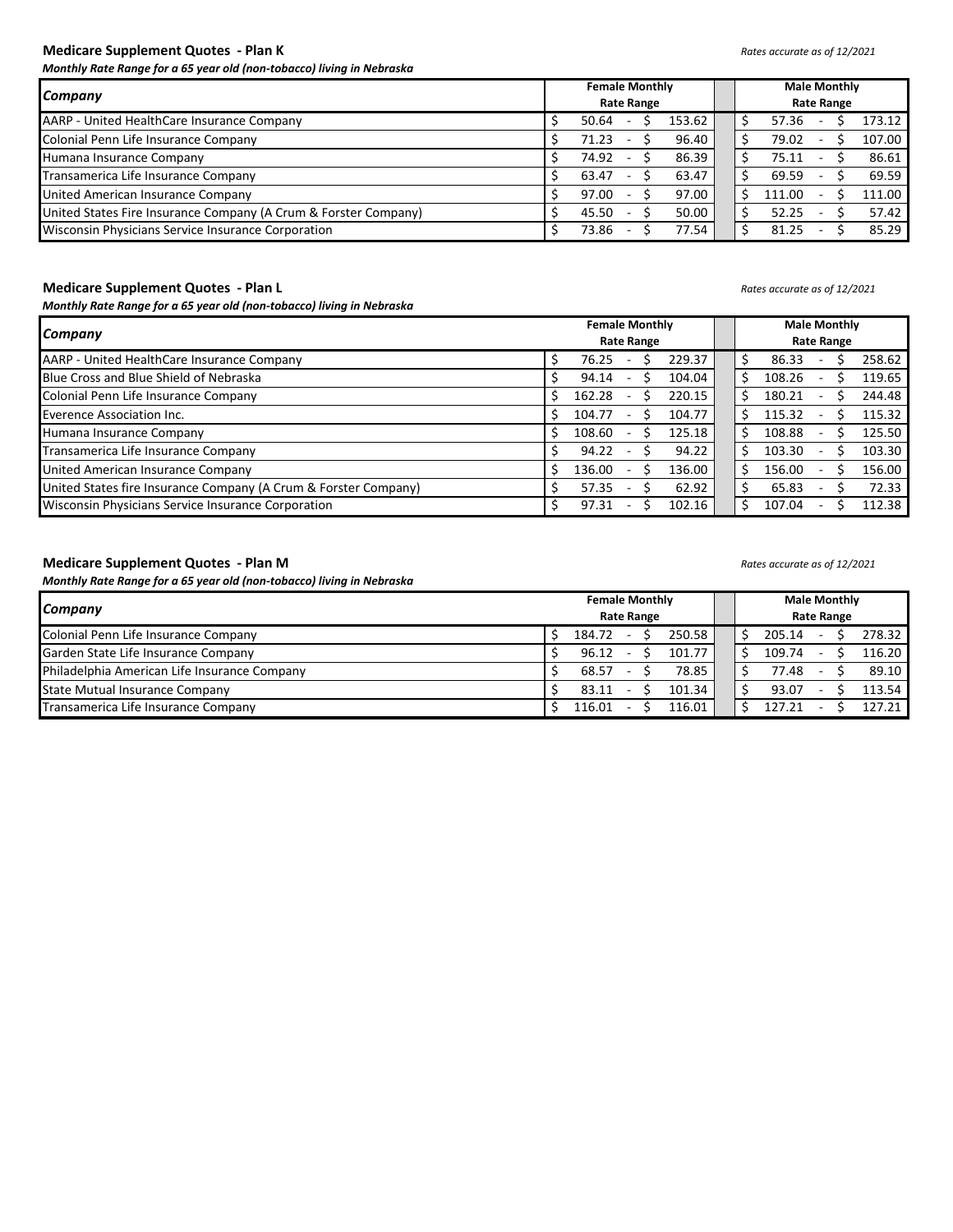## **Medicare Supplement Quotes - Plan K** *Rates accurate as of 12/2021*

*Monthly Rate Range for a 65 year old (non-tobacco) living in Nebraska*

|                                                                 |                   | <b>Female Monthly</b> |  |  |        |  |  | <b>Male Monthly</b> |                   |        |
|-----------------------------------------------------------------|-------------------|-----------------------|--|--|--------|--|--|---------------------|-------------------|--------|
| Company                                                         | <b>Rate Range</b> |                       |  |  |        |  |  |                     | <b>Rate Range</b> |        |
| AARP - United HealthCare Insurance Company                      |                   | 50.64                 |  |  | 153.62 |  |  | 57.36               |                   | 173.12 |
| Colonial Penn Life Insurance Company                            |                   | 71.23                 |  |  | 96.40  |  |  | 79.02               |                   | 107.00 |
| Humana Insurance Company                                        |                   | 74.92                 |  |  | 86.39  |  |  | 75.11               |                   | 86.61  |
| Transamerica Life Insurance Company                             |                   | 63.47                 |  |  | 63.47  |  |  | 69.59               |                   | 69.59  |
| United American Insurance Company                               |                   | 97.00                 |  |  | 97.00  |  |  | 111.00              |                   | 111.00 |
| United States Fire Insurance Company (A Crum & Forster Company) |                   | 45.50                 |  |  | 50.00  |  |  | 52.25               |                   | 57.42  |
| Wisconsin Physicians Service Insurance Corporation              |                   | 73.86                 |  |  | 77.54  |  |  | 81.25               |                   | 85.29  |

### **Medicare Supplement Quotes - Plan L** *Rates accurate as of 12/2021*

*Monthly Rate Range for a 65 year old (non-tobacco) living in Nebraska*

|                                                                 | <b>Female Monthly</b> |        | <b>Male Monthly</b>      |        |
|-----------------------------------------------------------------|-----------------------|--------|--------------------------|--------|
| Company                                                         | <b>Rate Range</b>     |        | <b>Rate Range</b>        |        |
| AARP - United HealthCare Insurance Company                      | 229.37<br>76.25       | 86.33  | $\overline{\phantom{a}}$ | 258.62 |
| Blue Cross and Blue Shield of Nebraska                          | 94.14<br>104.04       | 108.26 | ۰                        | 119.65 |
| Colonial Penn Life Insurance Company                            | 162.28<br>220.15      | 180.21 | ٠.                       | 244.48 |
| Everence Association Inc.                                       | 104.77<br>104.77      | 115.32 | ۰                        | 115.32 |
| Humana Insurance Company                                        | 125.18<br>108.60      | 108.88 | ۰                        | 125.50 |
| Transamerica Life Insurance Company                             | 94.22<br>94.22        | 103.30 | $\overline{\phantom{a}}$ | 103.30 |
| United American Insurance Company                               | 136.00<br>136.00      | 156.00 | ۰                        | 156.00 |
| United States fire Insurance Company (A Crum & Forster Company) | 62.92<br>57.35        | 65.83  | ٠.                       | 72.33  |
| Wisconsin Physicians Service Insurance Corporation              | 97.31<br>102.16       | 107.04 | $\sim$                   | 112.38 |

## **Medicare Supplement Quotes - Plan M** *Rates accurate as of 12/2021*

| Company                                      | <b>Female Monthly</b><br><b>Rate Range</b> |        |  |  |        |  | <b>Male Monthly</b> |                          | <b>Rate Range</b> |        |
|----------------------------------------------|--------------------------------------------|--------|--|--|--------|--|---------------------|--------------------------|-------------------|--------|
| Colonial Penn Life Insurance Company         |                                            | 184.72 |  |  | 250.58 |  | 205.14              | ۰                        |                   | 278.32 |
| Garden State Life Insurance Company          |                                            | 96.12  |  |  | 101.77 |  | 109.74              |                          |                   | 116.20 |
| Philadelphia American Life Insurance Company |                                            | 68.57  |  |  | 78.85  |  | 77.48               | ۰                        |                   | 89.10  |
| <b>State Mutual Insurance Company</b>        |                                            | 83.11  |  |  | 101.34 |  | 93.07               | $\overline{\phantom{a}}$ |                   | 113.54 |
| Transamerica Life Insurance Company          |                                            | 116.01 |  |  | 116.01 |  | 127.21              | ٠                        |                   | 127.21 |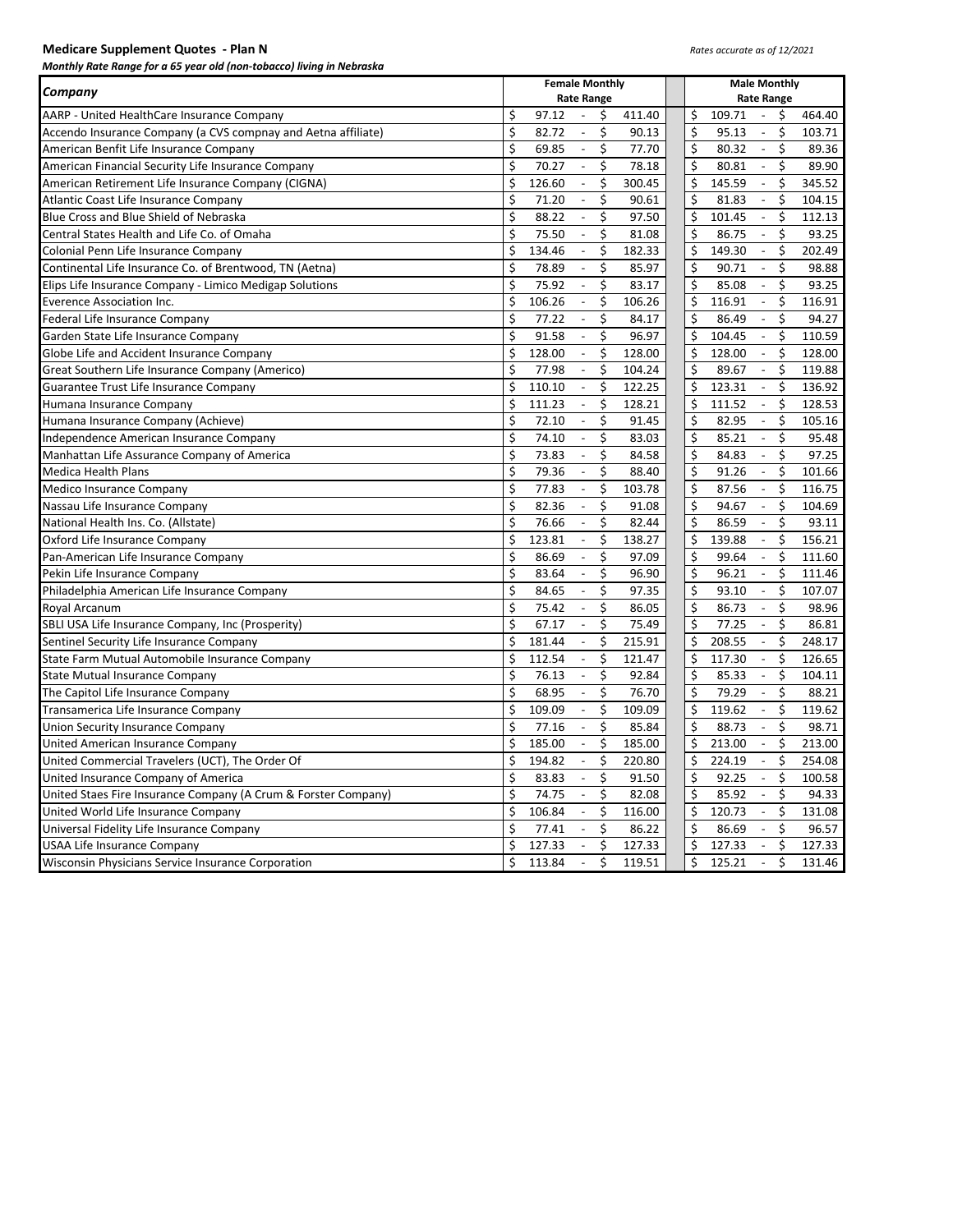| <b>Medicare Supplement Quotes - Plan N</b> |  |  |
|--------------------------------------------|--|--|
|--------------------------------------------|--|--|

|                                                                | <b>Female Monthly</b>                                    | <b>Male Monthly</b>                                                    |
|----------------------------------------------------------------|----------------------------------------------------------|------------------------------------------------------------------------|
| Company                                                        | <b>Rate Range</b>                                        | <b>Rate Range</b>                                                      |
| AARP - United HealthCare Insurance Company                     | \$<br>97.12<br>$\blacksquare$<br>\$<br>411.40            | \$<br>109.71<br>464.40<br>$\sim$<br>\$                                 |
| Accendo Insurance Company (a CVS compnay and Aetna affiliate)  | \$<br>\$<br>82.72<br>90.13<br>$\overline{\phantom{a}}$   | \$<br>\$<br>95.13<br>103.71<br>$\overline{\phantom{a}}$                |
| American Benfit Life Insurance Company                         | \$<br>\$<br>69.85<br>77.70<br>$\overline{\phantom{a}}$   | \$<br>\$<br>80.32<br>89.36<br>$\blacksquare$                           |
| American Financial Security Life Insurance Company             | \$<br>\$<br>70.27<br>78.18<br>$\blacksquare$             | \$<br>\$<br>80.81<br>89.90<br>$\sim$                                   |
| American Retirement Life Insurance Company (CIGNA)             | \$<br>Ś<br>126.60<br>$\blacksquare$<br>300.45            | \$<br>145.59<br>\$<br>345.52<br>$\sim$                                 |
| Atlantic Coast Life Insurance Company                          | \$<br>\$<br>71.20<br>90.61<br>$\Box$                     | \$<br>81.83<br>\$<br>104.15<br>$\blacksquare$                          |
| Blue Cross and Blue Shield of Nebraska                         | \$<br>\$<br>88.22<br>97.50<br>$\overline{\phantom{a}}$   | \$<br>\$<br>101.45<br>$\mathbb{L}$<br>112.13                           |
| Central States Health and Life Co. of Omaha                    | \$<br>75.50<br>$\overline{\phantom{a}}$<br>\$<br>81.08   | \$<br>\$<br>86.75<br>93.25<br>$\overline{\phantom{a}}$                 |
| Colonial Penn Life Insurance Company                           | \$<br>\$<br>134.46<br>182.33<br>$\overline{\phantom{a}}$ | \$<br>\$<br>149.30<br>202.49<br>$\blacksquare$                         |
| Continental Life Insurance Co. of Brentwood, TN (Aetna)        | \$<br>\$<br>78.89<br>$\overline{\phantom{a}}$<br>85.97   | \$<br>\$<br>90.71<br>98.88<br>$\blacksquare$                           |
| Elips Life Insurance Company - Limico Medigap Solutions        | \$<br>75.92<br>\$<br>83.17<br>$\overline{\phantom{a}}$   | \$<br>85.08<br>\$<br>93.25<br>$\overline{\phantom{a}}$                 |
| <b>Everence Association Inc.</b>                               | \$<br>$\mathbb{L}^{\mathbb{N}}$<br>Ś<br>106.26<br>106.26 | \$<br>116.91<br>\$<br>$\sim$<br>116.91                                 |
| Federal Life Insurance Company                                 | \$<br>\$<br>77.22<br>84.17<br>$\overline{\phantom{a}}$   | \$<br>\$<br>86.49<br>94.27<br>$\overline{\phantom{a}}$                 |
| Garden State Life Insurance Company                            | \$<br>\$<br>91.58<br>96.97<br>$\overline{\phantom{a}}$   | \$<br>\$<br>104.45<br>110.59<br>$\overline{\phantom{a}}$               |
| Globe Life and Accident Insurance Company                      | \$<br>128.00<br>$\Box$<br>\$<br>128.00                   | \$<br>\$<br>128.00<br>128.00<br>$\overline{\phantom{a}}$               |
| Great Southern Life Insurance Company (Americo)                | \$<br>\$<br>77.98<br>104.24<br>$\blacksquare$            | \$<br>\$<br>119.88<br>89.67<br>$\blacksquare$                          |
| Guarantee Trust Life Insurance Company                         | Ś<br>Ś<br>122.25<br>110.10<br>$\blacksquare$             | \$<br>\$<br>123.31<br>136.92<br>$\mathcal{L}_{\mathcal{A}}$            |
| Humana Insurance Company                                       | \$<br>\$<br>111.23<br>128.21<br>$\overline{\phantom{a}}$ | \$<br>111.52<br>\$<br>128.53<br>$\blacksquare$                         |
| Humana Insurance Company (Achieve)                             | \$<br>Ś<br>72.10<br>91.45<br>$\overline{\phantom{a}}$    | \$<br>\$<br>82.95<br>105.16<br>$\overline{\phantom{a}}$                |
| Independence American Insurance Company                        | \$<br>74.10<br>\$<br>$\overline{\phantom{a}}$<br>83.03   | \$<br>\$<br>85.21<br>95.48<br>$\sim$                                   |
| Manhattan Life Assurance Company of America                    | \$<br>73.83<br>\$<br>84.58<br>$\overline{\phantom{a}}$   | \$<br>\$<br>84.83<br>97.25<br>$\overline{\phantom{a}}$                 |
| <b>Medica Health Plans</b>                                     | \$<br>\$<br>79.36<br>$\Box$<br>88.40                     | \$<br>\$<br>91.26<br>101.66<br>$\blacksquare$                          |
| Medico Insurance Company                                       | \$<br>77.83<br>\$<br>103.78<br>$\overline{\phantom{a}}$  | \$<br>\$<br>87.56<br>116.75<br>$\overline{\phantom{a}}$                |
| Nassau Life Insurance Company                                  | \$<br>Ś<br>$\mathbb{L}$<br>82.36<br>91.08                | \$<br>\$<br>94.67<br>$\sim$<br>104.69                                  |
| National Health Ins. Co. (Allstate)                            | \$<br>76.66<br>\$<br>82.44<br>$\overline{\phantom{a}}$   | \$<br>\$<br>86.59<br>93.11<br>$\overline{\phantom{a}}$                 |
| Oxford Life Insurance Company                                  | \$<br>\$<br>123.81<br>138.27<br>$\overline{\phantom{a}}$ | \$<br>\$<br>139.88<br>156.21<br>$\overline{\phantom{a}}$               |
| Pan-American Life Insurance Company                            | \$<br>86.69<br>\$<br>97.09<br>$\blacksquare$             | \$<br>\$<br>99.64<br>111.60<br>$\overline{\phantom{a}}$                |
| Pekin Life Insurance Company                                   | \$<br>\$<br>83.64<br>96.90<br>$\overline{\phantom{a}}$   | \$<br>\$<br>96.21<br>111.46<br>$\overline{\phantom{a}}$                |
| Philadelphia American Life Insurance Company                   | \$<br>\$<br>84.65<br>$\overline{\phantom{a}}$<br>97.35   | \$<br>\$<br>93.10<br>107.07<br>$\sim$                                  |
| Royal Arcanum                                                  | \$<br>\$<br>75.42<br>86.05<br>$\overline{\phantom{a}}$   | \$<br>\$<br>86.73<br>98.96<br>$\sim$                                   |
| SBLI USA Life Insurance Company, Inc (Prosperity)              | \$<br>67.17<br>Ś<br>75.49<br>$\overline{\phantom{a}}$    | \$<br>\$<br>77.25<br>86.81<br>$\overline{\phantom{a}}$                 |
| Sentinel Security Life Insurance Company                       | \$<br>\$<br>181.44<br>215.91<br>$\overline{\phantom{a}}$ | $\overline{\xi}$<br>\$<br>208.55<br>248.17<br>$\overline{\phantom{a}}$ |
| State Farm Mutual Automobile Insurance Company                 | \$<br>\$<br>112.54<br>121.47<br>$\overline{\phantom{a}}$ | \$<br>\$<br>117.30<br>126.65<br>$\overline{\phantom{a}}$               |
| <b>State Mutual Insurance Company</b>                          | \$<br>\$<br>76.13<br>92.84<br>$\blacksquare$             | \$<br>\$<br>85.33<br>104.11<br>$\overline{\phantom{a}}$                |
| The Capitol Life Insurance Company                             | \$<br>\$<br>76.70<br>68.95<br>$\overline{\phantom{a}}$   | \$<br>\$<br>79.29<br>88.21<br>$\overline{\phantom{a}}$                 |
| Transamerica Life Insurance Company                            | \$<br>Ś<br>109.09<br>109.09<br>$\overline{\phantom{a}}$  | \$<br>\$<br>119.62<br>119.62<br>$\mathcal{L}_{\mathcal{A}}$            |
| Union Security Insurance Company                               | \$<br>\$<br>77.16<br>85.84<br>$\overline{\phantom{a}}$   | \$<br>88.73<br>\$<br>98.71<br>$\blacksquare$                           |
| United American Insurance Company                              | Ś<br>\$<br>185.00<br>185.00<br>$\overline{\phantom{a}}$  | \$<br>\$<br>213.00<br>213.00<br>$\overline{\phantom{a}}$               |
| United Commercial Travelers (UCT), The Order Of                | \$<br>\$<br>194.82<br>220.80<br>$\overline{\phantom{a}}$ | \$<br>224.19<br>\$<br>254.08<br>$\mathbb{L}$                           |
| United Insurance Company of America                            | \$<br>\$<br>83.83<br>91.50<br>$\overline{\phantom{a}}$   | \$<br>92.25<br>\$<br>100.58<br>$\overline{\phantom{a}}$                |
| United Staes Fire Insurance Company (A Crum & Forster Company) | \$<br>\$<br>74.75<br>$\blacksquare$<br>82.08             | \$<br>\$<br>85.92<br>$\frac{1}{2}$<br>94.33                            |
| United World Life Insurance Company                            | \$<br>106.84<br>\$<br>116.00<br>$\overline{\phantom{a}}$ | \$<br>\$<br>120.73<br>131.08<br>$\overline{\phantom{a}}$               |
| Universal Fidelity Life Insurance Company                      | \$<br>Ś.<br>77.41<br>$\mathbb{L}^{\mathbb{N}}$<br>86.22  | \$<br>\$<br>86.69<br>$\sim$<br>96.57                                   |
| USAA Life Insurance Company                                    | \$<br>\$<br>127.33<br>$\overline{\phantom{a}}$<br>127.33 | \$<br>\$<br>127.33<br>127.33<br>$\overline{a}$                         |
| Wisconsin Physicians Service Insurance Corporation             | \$<br>\$<br>113.84<br>119.51<br>$\blacksquare$           | \$<br>\$<br>125.21<br>131.46<br>$\mathbb{L}$                           |